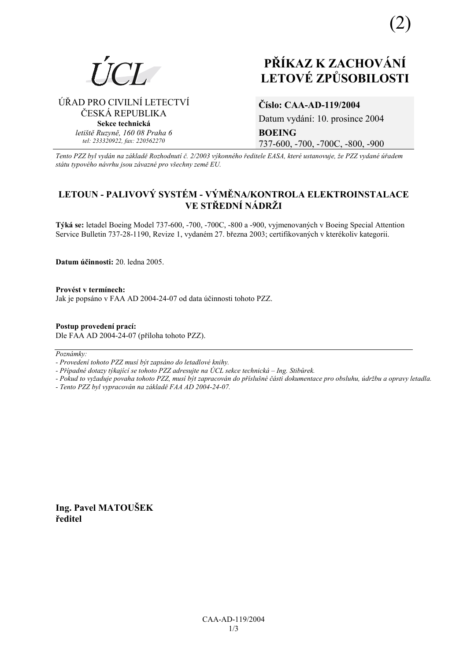

# PŘÍKAZ K ZACHOVÁNÍ **LETOVÉ ZPŮSOBILOSTI**

### ÚŘAD PRO CIVILNÍ LETECTVÍ ČESKÁ REPUBLIKA Sekce technická letiště Ruzyně, 160 08 Praha 6 tel: 233320922, fax: 220562270

## Číslo: CAA-AD-119/2004

Datum vydání: 10. prosince 2004 **BOEING** 737-600, -700, -700C, -800, -900

Tento PZZ byl vydán na základě Rozhodnutí č. 2/2003 výkonného ředitele EASA, které ustanovuje, že PZZ vydané úřadem státu typového návrhu jsou závazné pro všechny země EU.

## LETOUN - PALIVOVÝ SYSTÉM - VÝMĚNA/KONTROLA ELEKTROINSTALACE VE STŘEDNÍ NÁDRŽI

Týká se: letadel Boeing Model 737-600, -700, -700C, -800 a -900, vyjmenovaných v Boeing Special Attention Service Bulletin 737-28-1190, Revize 1, vydaném 27. března 2003; certifikovaných v kterékoliv kategorii.

Datum účinnosti: 20. ledna 2005.

Provést v termínech: Jak je popsáno v FAA AD 2004-24-07 od data účinnosti tohoto PZZ.

Postup provedení prací: Dle FAA AD 2004-24-07 (příloha tohoto PZZ).

Poznámky:

- Provedení tohoto PZZ musí být zapsáno do letadlové knihy.

- Případné dotazy týkající se tohoto PZZ adresujte na ÚCL sekce technická – Ing. Stibůrek.

- Pokud to vyžaduje povaha tohoto PZZ, musí být zapracován do příslušné části dokumentace pro obsluhu, údržbu a opravy letadla. - Tento PZZ byl vypracován na základě FAA AD 2004-24-07.

Ing. Pavel MATOUŠEK ředitel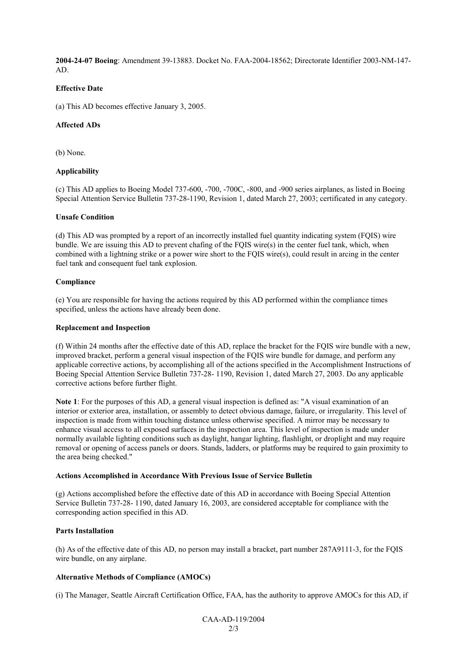**2004-24-07 Boeing**: Amendment 39-13883. Docket No. FAA-2004-18562; Directorate Identifier 2003-NM-147- AD.

#### **Effective Date**

(a) This AD becomes effective January 3, 2005.

#### **Affected ADs**

(b) None.

#### **Applicability**

(c) This AD applies to Boeing Model 737-600, -700, -700C, -800, and -900 series airplanes, as listed in Boeing Special Attention Service Bulletin 737-28-1190, Revision 1, dated March 27, 2003; certificated in any category.

#### **Unsafe Condition**

(d) This AD was prompted by a report of an incorrectly installed fuel quantity indicating system (FQIS) wire bundle. We are issuing this AD to prevent chafing of the FQIS wire(s) in the center fuel tank, which, when combined with a lightning strike or a power wire short to the FQIS wire(s), could result in arcing in the center fuel tank and consequent fuel tank explosion.

#### **Compliance**

(e) You are responsible for having the actions required by this AD performed within the compliance times specified, unless the actions have already been done.

#### **Replacement and Inspection**

(f) Within 24 months after the effective date of this AD, replace the bracket for the FQIS wire bundle with a new, improved bracket, perform a general visual inspection of the FQIS wire bundle for damage, and perform any applicable corrective actions, by accomplishing all of the actions specified in the Accomplishment Instructions of Boeing Special Attention Service Bulletin 737-28- 1190, Revision 1, dated March 27, 2003. Do any applicable corrective actions before further flight.

**Note 1**: For the purposes of this AD, a general visual inspection is defined as: "A visual examination of an interior or exterior area, installation, or assembly to detect obvious damage, failure, or irregularity. This level of inspection is made from within touching distance unless otherwise specified. A mirror may be necessary to enhance visual access to all exposed surfaces in the inspection area. This level of inspection is made under normally available lighting conditions such as daylight, hangar lighting, flashlight, or droplight and may require removal or opening of access panels or doors. Stands, ladders, or platforms may be required to gain proximity to the area being checked."

#### **Actions Accomplished in Accordance With Previous Issue of Service Bulletin**

(g) Actions accomplished before the effective date of this AD in accordance with Boeing Special Attention Service Bulletin 737-28- 1190, dated January 16, 2003, are considered acceptable for compliance with the corresponding action specified in this AD.

#### **Parts Installation**

(h) As of the effective date of this AD, no person may install a bracket, part number 287A9111-3, for the FQIS wire bundle, on any airplane.

#### **Alternative Methods of Compliance (AMOCs)**

(i) The Manager, Seattle Aircraft Certification Office, FAA, has the authority to approve AMOCs for this AD, if